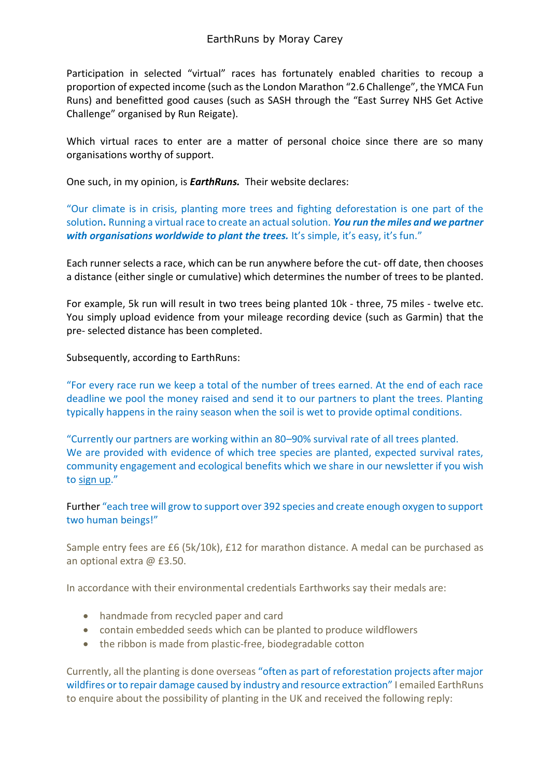Participation in selected "virtual" races has fortunately enabled charities to recoup a proportion of expected income (such as the London Marathon "2.6 Challenge", the YMCA Fun Runs) and benefitted good causes (such as SASH through the "East Surrey NHS Get Active Challenge" organised by Run Reigate).

Which virtual races to enter are a matter of personal choice since there are so many organisations worthy of support.

One such, in my opinion, is *EarthRuns.* Their website declares:

"Our climate is in crisis, planting more trees and fighting deforestation is one part of the solution**.** Running a virtual race to create an actualsolution. *You run the miles and we partner with organisations worldwide to plant the trees.* It's simple, it's easy, it's fun."

Each runner selects a race, which can be run anywhere before the cut- off date, then chooses a distance (either single or cumulative) which determines the number of trees to be planted.

For example, 5k run will result in two trees being planted 10k - three, 75 miles - twelve etc. You simply upload evidence from your mileage recording device (such as Garmin) that the pre- selected distance has been completed.

Subsequently, according to EarthRuns:

"For every race run we keep a total of the number of trees earned. At the end of each race deadline we pool the money raised and send it to our partners to plant the trees. Planting typically happens in the rainy season when the soil is wet to provide optimal conditions.

"Currently our partners are working within an 80–90% survival rate of all trees planted. We are provided with evidence of which tree species are planted, expected survival rates, community engagement and ecological benefits which we share in our newsletter if you wish to [sign](https://www.earthruns.com/sign-up) up."

Further "each tree will grow to support over 392 species and create enough oxygen to support two human beings!"

Sample entry fees are £6 (5k/10k), £12 for marathon distance. A medal can be purchased as an optional extra @ £3.50.

In accordance with their environmental credentials Earthworks say their medals are:

- handmade from recycled paper and card
- contain embedded seeds which can be planted to produce wildflowers
- the ribbon is made from plastic-free, biodegradable cotton

Currently, all the planting is done overseas "often as part of reforestation projects after major wildfires or to repair damage caused by industry and resource extraction" I emailed EarthRuns to enquire about the possibility of planting in the UK and received the following reply: